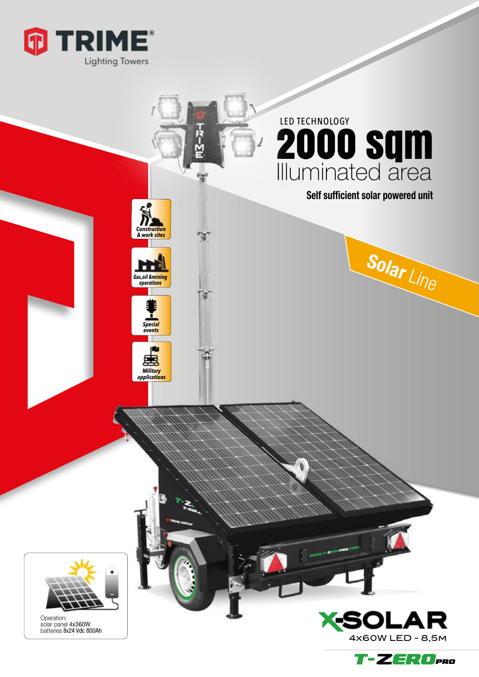